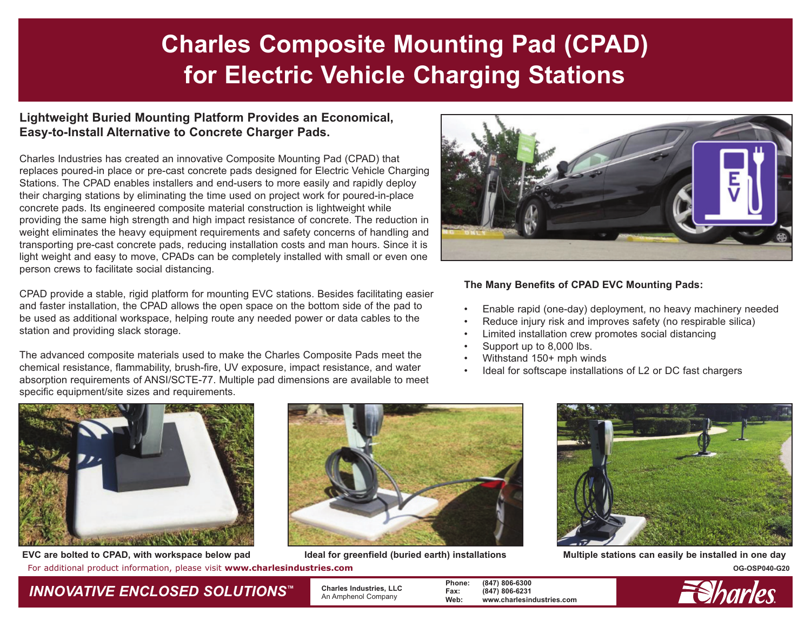# **Charles Composite Mounting Pad (CPAD) for Electric Vehicle Charging Stations**

#### **Lightweight Buried Mounting Platform Provides an Economical, Easy-to-Install Alternative to Concrete Charger Pads.**

Charles Industries has created an innovative Composite Mounting Pad (CPAD) that replaces poured-in place or pre-cast concrete pads designed for Electric Vehicle Charging Stations. The CPAD enables installers and end-users to more easily and rapidly deploy their charging stations by eliminating the time used on project work for poured-in-place concrete pads. Its engineered composite material construction is lightweight while providing the same high strength and high impact resistance of concrete. The reduction in weight eliminates the heavy equipment requirements and safety concerns of handling and transporting pre-cast concrete pads, reducing installation costs and man hours. Since it is light weight and easy to move, CPADs can be completely installed with small or even one person crews to facilitate social distancing.

CPAD provide a stable, rigid platform for mounting EVC stations. Besides facilitating easier and faster installation, the CPAD allows the open space on the bottom side of the pad to be used as additional workspace, helping route any needed power or data cables to the station and providing slack storage.

The advanced composite materials used to make the Charles Composite Pads meet the chemical resistance, flammability, brush-fire, UV exposure, impact resistance, and water absorption requirements of ANSI/SCTE-77. Multiple pad dimensions are available to meet specific equipment/site sizes and requirements.



#### **The Many Benefits of CPAD EVC Mounting Pads:**

- •Enable rapid (one-day) deployment, no heavy machinery needed
- •Reduce injury risk and improves safety (no respirable silica)
- •Limited installation crew promotes social distancing
- •Support up to 8,000 lbs.
- •Withstand 150+ mph winds
- •Ideal for softscape installations of L2 or DC fast chargers



For additional product information, please visit **www.charlesindustries.com COSP040-G20 OG-OSP040-G20 OG-OSP040-G20 EVC are bolted to CPAD, with workspace below pad Ideal for greenfield (buried earth) installations Multiple stations can easily be installed in one day**







### *INNOVATIVE ENCLOSED SOLUTIONS ™*

 **Charles Industries, LLC** An Amphenol Company

**Phone: (847) 806-6300 Fax: (847) 806-6231 Web: www.charlesindustries.com**

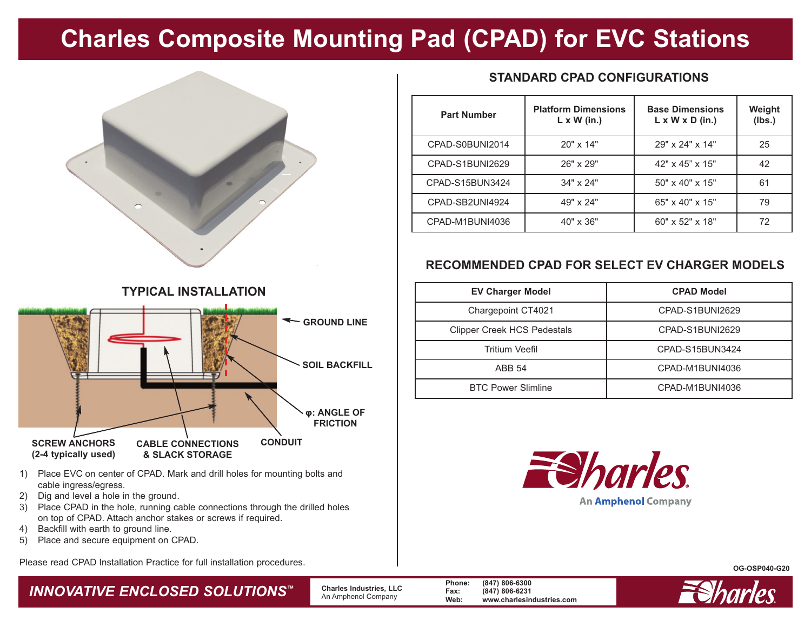## **Charles Composite Mounting Pad (CPAD) for EVC Stations**



**TYPICAL INSTALLATION**

#### **STANDARD CPAD CONFIGURATIONS**

| <b>Part Number</b> | <b>Platform Dimensions</b><br>$L \times W$ (in.) | <b>Base Dimensions</b><br>$L \times W \times D$ (in.) | Weight<br>(lbs.) |
|--------------------|--------------------------------------------------|-------------------------------------------------------|------------------|
| CPAD-S0BUNI2014    | 20" x 14"                                        | 29" x 24" x 14"                                       | 25               |
| CPAD-S1BUNI2629    | 26" x 29"                                        | $42" \times 45" \times 15"$                           | 42               |
| CPAD-S15BUN3424    | 34" x 24"                                        | $50" \times 40" \times 15"$                           | 61               |
| CPAD-SB2UNI4924    | 49" x 24"                                        | 65" x 40" x 15"                                       | 79               |
| CPAD-M1BUNI4036    | $40" \times 36"$                                 | $60" \times 52" \times 18"$                           | 72               |

### **RECOMMENDED CPAD FOR SELECT EV CHARGER MODELS**

| <b>EV Charger Model</b>            | <b>CPAD Model</b> |
|------------------------------------|-------------------|
| Chargepoint CT4021                 | CPAD-S1BUNI2629   |
| <b>Clipper Creek HCS Pedestals</b> | CPAD-S1BUNI2629   |
| Tritium Veefil                     | CPAD-S15BUN3424   |
| ABB 54                             | CPAD-M1BUNI4036   |
| <b>BTC Power Slimline</b>          | CPAD-M1BUNI4036   |



#### **OG-OSP040-G20**



**(2-4 typically used) & SLACK STORAGE**

- 1) Place EVC on center of CPAD. Mark and drill holes for mounting bolts and cable ingress/egress.
- 2) Dig and level a hole in the ground.
- 3) Place CPAD in the hole, running cable connections through the drilled holes on top of CPAD. Attach anchor stakes or screws if required.
- 4) Backfill with earth to ground line.
- 5) Place and secure equipment on CPAD.

Please read CPAD Installation Practice for full installation procedures.

### *INNOVATIVE ENCLOSED SOLUTIONS ™*

 **Charles Industries, LLC** An Amphenol Company

**Phone: (847) 806-6300 Fax: (847) 806-6231 Web: www.charlesindustries.com**